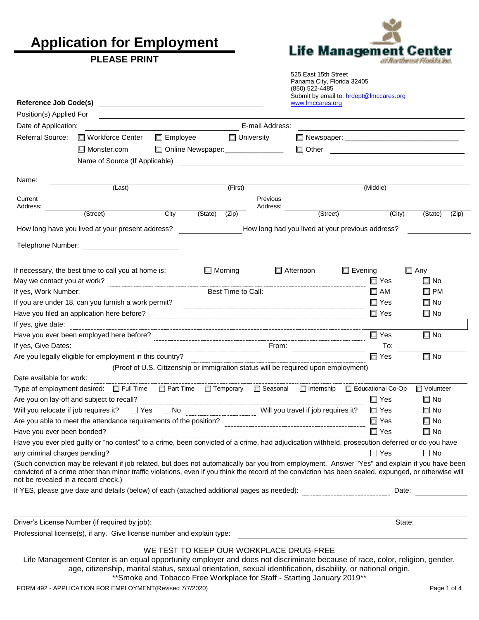**Application for Employment** 

### **PLEASE PRINT**

**Reference Job Code(s)** 



525 East 15th Street Panama City, Florida 32405 (850) 522-4485 Submit by email to: [hrdept@lmccares.org](mailto:hrdept@lmccares.org)<br>www.lmccares.org

| Position(s) Applied For             |                                                                                                                                                                                                                                                                                                         |                 |                                    |                   |                                                                                    |                                                  |                             |       |
|-------------------------------------|---------------------------------------------------------------------------------------------------------------------------------------------------------------------------------------------------------------------------------------------------------------------------------------------------------|-----------------|------------------------------------|-------------------|------------------------------------------------------------------------------------|--------------------------------------------------|-----------------------------|-------|
| Date of Application:                |                                                                                                                                                                                                                                                                                                         |                 |                                    | E-mail Address:   |                                                                                    |                                                  |                             |       |
| Referral Source:                    | □ Workforce Center                                                                                                                                                                                                                                                                                      | $\Box$ Employee |                                    | $\Box$ University |                                                                                    |                                                  |                             |       |
|                                     | $\Box$ Monster.com                                                                                                                                                                                                                                                                                      |                 | Online Newspaper:_________________ |                   |                                                                                    | □ Other <u>______________________</u>            |                             |       |
|                                     |                                                                                                                                                                                                                                                                                                         |                 |                                    |                   |                                                                                    |                                                  |                             |       |
|                                     |                                                                                                                                                                                                                                                                                                         |                 |                                    |                   |                                                                                    |                                                  |                             |       |
| Name:                               |                                                                                                                                                                                                                                                                                                         |                 |                                    |                   |                                                                                    |                                                  |                             |       |
| Current                             | (Last)                                                                                                                                                                                                                                                                                                  |                 | (First)                            | Previous          |                                                                                    | (Middle)                                         |                             |       |
| Address:                            |                                                                                                                                                                                                                                                                                                         |                 |                                    | Address:          |                                                                                    |                                                  |                             |       |
|                                     | (Street)                                                                                                                                                                                                                                                                                                | City            | (State)<br>$\overline{(Zip)}$      |                   | (Street)                                                                           | (City)                                           | $\overline{\text{(State)}}$ | (Zip) |
|                                     | How long have you lived at your present address?                                                                                                                                                                                                                                                        |                 |                                    |                   |                                                                                    | How long had you lived at your previous address? |                             |       |
|                                     |                                                                                                                                                                                                                                                                                                         |                 |                                    |                   |                                                                                    |                                                  |                             |       |
|                                     |                                                                                                                                                                                                                                                                                                         |                 |                                    |                   |                                                                                    |                                                  |                             |       |
|                                     |                                                                                                                                                                                                                                                                                                         |                 |                                    |                   |                                                                                    |                                                  |                             |       |
|                                     | If necessary, the best time to call you at home is:                                                                                                                                                                                                                                                     |                 | $\Box$ Morning                     |                   | □ Afternoon                                                                        | $\Box$ Evening                                   | $\square$ Any               |       |
|                                     |                                                                                                                                                                                                                                                                                                         |                 |                                    |                   |                                                                                    | $\Box$ Yes                                       | $\square$ No                |       |
| If yes, Work Number:                |                                                                                                                                                                                                                                                                                                         |                 | Best Time to Call:                 |                   |                                                                                    | $\square$ AM                                     | $\square$ PM                |       |
|                                     | If you are under 18, can you furnish a work permit?                                                                                                                                                                                                                                                     |                 |                                    |                   |                                                                                    | $\square$ Yes                                    | $\square$ No                |       |
|                                     |                                                                                                                                                                                                                                                                                                         |                 |                                    |                   |                                                                                    | $\Box$ Yes                                       | $\square$ No                |       |
| If yes, give date:                  |                                                                                                                                                                                                                                                                                                         |                 |                                    |                   |                                                                                    |                                                  |                             |       |
|                                     |                                                                                                                                                                                                                                                                                                         |                 |                                    |                   |                                                                                    | $\square$ Yes                                    | $\square$ No                |       |
| If yes, Give Dates:                 |                                                                                                                                                                                                                                                                                                         |                 |                                    |                   |                                                                                    | To:                                              |                             |       |
|                                     | Are you legally eligible for employment in this country?                                                                                                                                                                                                                                                |                 |                                    |                   |                                                                                    | $\Box$ Yes                                       | $\square$ No                |       |
|                                     |                                                                                                                                                                                                                                                                                                         |                 |                                    |                   | (Proof of U.S. Citizenship or immigration status will be required upon employment) |                                                  |                             |       |
| Date available for work:            |                                                                                                                                                                                                                                                                                                         |                 |                                    |                   |                                                                                    |                                                  |                             |       |
|                                     | Type of employment desired:<br>$\square$ Full Time $\square$ Part Time $\square$ Temporary $\square$ Seasonal $\square$ Internship $\square$ Educational Co-Op                                                                                                                                          |                 |                                    |                   |                                                                                    |                                                  | □ Volunteer                 |       |
|                                     | Are you on lay-off and subject to recall?                                                                                                                                                                                                                                                               |                 |                                    |                   |                                                                                    | $\square$ Yes                                    | $\square$ No                |       |
|                                     | Will you relocate if job requires it? $\Box$ Yes $\Box$ No $\Box$ No $\Box$ Will you travel if job requires it?                                                                                                                                                                                         |                 |                                    |                   |                                                                                    | $\square$ Yes                                    | $\Box$ No                   |       |
|                                     | Are you able to meet the attendance requirements of the position?                                                                                                                                                                                                                                       |                 |                                    |                   |                                                                                    | $\square$ Yes                                    | $\square$ No                |       |
| Have you ever been bonded?          |                                                                                                                                                                                                                                                                                                         |                 |                                    |                   |                                                                                    | $\Box$ Yes                                       | $\square$ No                |       |
|                                     | Have you ever pled guilty or "no contest" to a crime, been convicted of a crime, had adjudication withheld, prosecution deferred or do you have                                                                                                                                                         |                 |                                    |                   |                                                                                    |                                                  |                             |       |
| any criminal charges pending?       |                                                                                                                                                                                                                                                                                                         |                 |                                    |                   |                                                                                    | $\Box$ Yes                                       | $\Box$ No                   |       |
| not be revealed in a record check.) | (Such conviction may be relevant if job related, but does not automatically bar you from employment. Answer "Yes" and explain if you have been<br>convicted of a crime other than minor traffic violations, even if you think the record of the conviction has been sealed, expunged, or otherwise will |                 |                                    |                   |                                                                                    |                                                  |                             |       |
|                                     | If YES, please give date and details (below) of each (attached additional pages as needed):                                                                                                                                                                                                             |                 |                                    |                   |                                                                                    | Date:                                            |                             |       |
|                                     |                                                                                                                                                                                                                                                                                                         |                 |                                    |                   |                                                                                    |                                                  |                             |       |
|                                     |                                                                                                                                                                                                                                                                                                         |                 |                                    |                   |                                                                                    |                                                  |                             |       |
|                                     | Driver's License Number (if required by job):                                                                                                                                                                                                                                                           |                 |                                    |                   |                                                                                    | State:                                           |                             |       |

Professional license(s), if any. Give license number and explain type:

#### WE TEST TO KEEP OUR WORKPLACE DRUG-FREE

Life Management Center is an equal opportunity employer and does not discriminate because of race, color, religion, gender, age, citizenship, marital status, sexual orientation, sexual identification, disability, or national origin. \*\*Smoke and Tobacco Free Workplace for Staff - Starting January 2019\*\*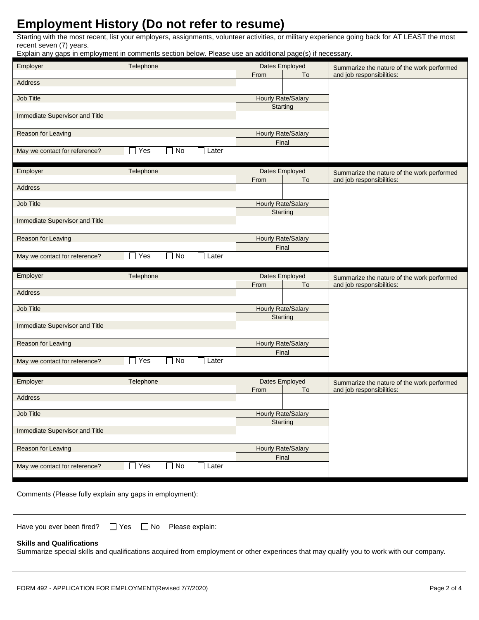# **Employment History (Do not refer to resume)**

Starting with the most recent, list your employers, assignments, volunteer activities, or military experience going back for AT LEAST the most recent seven (7) years.

Explain any gaps in employment in comments section below. Please use an additional page(s) if necessary.

| Employer                       | Telephone                               |                           | Dates Employed            | Summarize the nature of the work performed |  |
|--------------------------------|-----------------------------------------|---------------------------|---------------------------|--------------------------------------------|--|
|                                |                                         | From                      | To                        | and job responsibilities:                  |  |
| Address                        |                                         |                           |                           |                                            |  |
| Job Title                      |                                         | <b>Hourly Rate/Salary</b> |                           |                                            |  |
|                                |                                         |                           | <b>Starting</b>           |                                            |  |
| Immediate Supervisor and Title |                                         |                           |                           |                                            |  |
|                                |                                         |                           |                           |                                            |  |
| Reason for Leaving             |                                         |                           | Hourly Rate/Salary        |                                            |  |
|                                |                                         |                           | Final                     |                                            |  |
| May we contact for reference?  | Yes<br>No<br><b>O</b> Later<br>$\Box$   |                           |                           |                                            |  |
|                                |                                         |                           |                           |                                            |  |
| Employer                       | Telephone                               |                           | Dates Employed            | Summarize the nature of the work performed |  |
| Address                        |                                         | From                      | To                        | and job responsibilities:                  |  |
|                                |                                         |                           |                           |                                            |  |
| Job Title                      |                                         | Hourly Rate/Salary        |                           |                                            |  |
|                                |                                         |                           | Starting                  |                                            |  |
| Immediate Supervisor and Title |                                         |                           |                           |                                            |  |
|                                |                                         |                           |                           |                                            |  |
| Reason for Leaving             |                                         |                           | <b>Hourly Rate/Salary</b> |                                            |  |
| May we contact for reference?  | $\Box$ Yes<br>$\Box$ No<br>$\Box$ Later |                           | Final                     |                                            |  |
|                                |                                         |                           |                           |                                            |  |
|                                |                                         |                           |                           |                                            |  |
|                                |                                         |                           |                           |                                            |  |
| Employer                       | Telephone                               | From                      | Dates Employed<br>To      | Summarize the nature of the work performed |  |
| Address                        |                                         |                           |                           | and job responsibilities:                  |  |
|                                |                                         |                           |                           |                                            |  |
| Job Title                      |                                         | Hourly Rate/Salary        |                           |                                            |  |
|                                |                                         |                           | Starting                  |                                            |  |
| Immediate Supervisor and Title |                                         |                           |                           |                                            |  |
| Reason for Leaving             |                                         |                           | Hourly Rate/Salary        |                                            |  |
|                                |                                         |                           | Final                     |                                            |  |
| May we contact for reference?  | $\Box$ Yes<br>No<br>$\Box$ Later        |                           |                           |                                            |  |
|                                |                                         |                           |                           |                                            |  |
| Employer                       | Telephone                               |                           | Dates Employed            | Summarize the nature of the work performed |  |
|                                |                                         | From                      | To                        | and job responsibilities:                  |  |
| Address                        |                                         |                           |                           |                                            |  |
| Job Title                      |                                         |                           | <b>Hourly Rate/Salary</b> |                                            |  |
|                                |                                         |                           | Starting                  |                                            |  |
| Immediate Supervisor and Title |                                         |                           |                           |                                            |  |
|                                |                                         |                           |                           |                                            |  |
| Reason for Leaving             |                                         |                           | <b>Hourly Rate/Salary</b> |                                            |  |
|                                |                                         |                           | Final                     |                                            |  |
| May we contact for reference?  | $\Box$ Yes<br>$\Box$ No<br>$\Box$ Later |                           |                           |                                            |  |

Comments (Please fully explain any gaps in employment):

| Have you ever been fired? | ∩ Yes | 1 No | Please explain: |
|---------------------------|-------|------|-----------------|
|---------------------------|-------|------|-----------------|

#### **Skills and Qualifications**

Summarize special skills and qualifications acquired from employment or other experinces that may qualify you to work with our company.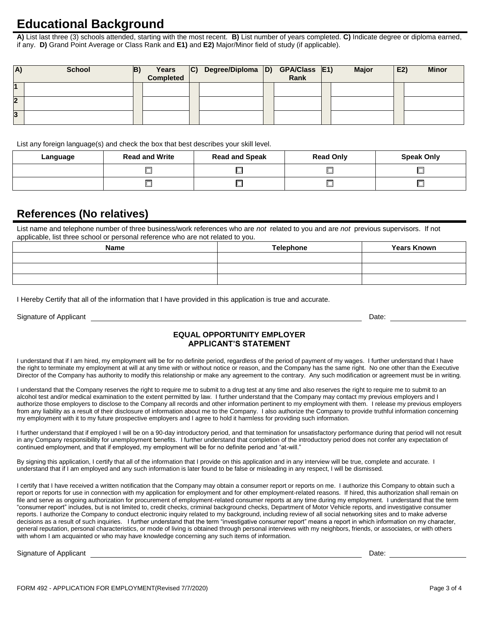## **Educational Background**

 **A)** List last three (3) schools attended, starting with the most recent. **B)** List number of years completed. **C)** Indicate degree or diploma earned, if any. **D)** Grand Point Average or Class Rank and **E1)** and **E2)** Major/Minor field of study (if applicable).

| A) | <b>School</b> | B) | Years<br><b>Completed</b> | C) Degree/Diploma D) GPA/Class E1) | Rank | <b>Major</b> | E2) | <b>Minor</b> |
|----|---------------|----|---------------------------|------------------------------------|------|--------------|-----|--------------|
|    |               |    |                           |                                    |      |              |     |              |
|    |               |    |                           |                                    |      |              |     |              |
|    |               |    |                           |                                    |      |              |     |              |

List any foreign language(s) and check the box that best describes your skill level.

| Language | <b>Read and Write</b>    | <b>Read and Speak</b> | <b>Read Only</b> | <b>Speak Only</b> |  |
|----------|--------------------------|-----------------------|------------------|-------------------|--|
|          |                          |                       |                  |                   |  |
|          | $\overline{\phantom{a}}$ |                       | -                |                   |  |

### **References (No relatives)**

 List name and telephone number of three business/work references who are *not* related to you and are *not* previous supervisors. If not applicable, list three school or personal reference who are not related to you.

| <b>Name</b> | <b>Telephone</b> | <b>Years Known</b> |  |  |
|-------------|------------------|--------------------|--|--|
|             |                  |                    |  |  |
|             |                  |                    |  |  |
|             |                  |                    |  |  |

I Hereby Certify that all of the information that I have provided in this application is true and accurate.

Signature of Applicant Date: The Signature of Applicant Date: Date: Date: Date: Date: Date: Date: Date: Date: Date: Date: Date: Date: Date: Date: Date: Date: Date: Date: Date: Date: Date: Date: Date: Date: Date: Date: Date

Date: <u>\_\_\_\_\_\_\_</u>

#### **EQUAL OPPORTUNITY EMPLOYER APPLICANT'S STATEMENT**

I understand that if I am hired, my employment will be for no definite period, regardless of the period of payment of my wages. I further understand that I have the right to terminate my employment at will at any time with or without notice or reason, and the Company has the same right. No one other than the Executive Director of the Company has authority to modify this relationship or make any agreement to the contrary. Any such modification or agreement must be in writing.

I understand that the Company reserves the right to require me to submit to a drug test at any time and also reserves the right to require me to submit to an alcohol test and/or medical examination to the extent permitted by law. I further understand that the Company may contact my previous employers and I authorize those employers to disclose to the Company all records and other information pertinent to my employment with them. I release my previous employers from any liability as a result of their disclosure of information about me to the Company. I also authorize the Company to provide truthful information concerning my employment with it to my future prospective employers and I agree to hold it harmless for providing such information.

I further understand that if employed I will be on a 90-day introductory period, and that termination for unsatisfactory performance during that period will not result in any Company responsibility for unemployment benefits. I further understand that completion of the introductory period does not confer any expectation of continued employment, and that if employed, my employment will be for no definite period and "at-will."

By signing this application, I certify that all of the information that I provide on this application and in any interview will be true, complete and accurate. I understand that if I am employed and any such information is later found to be false or misleading in any respect, I will be dismissed.

I certify that I have received a written notification that the Company may obtain a consumer report or reports on me. I authorize this Company to obtain such a report or reports for use in connection with my application for employment and for other employment-related reasons. If hired, this authorization shall remain on file and serve as ongoing authorization for procurement of employment-related consumer reports at any time during my employment. I understand that the term "consumer report" includes, but is not limited to, credit checks, criminal background checks, Department of Motor Vehicle reports, and investigative consumer reports. I authorize the Company to conduct electronic inquiry related to my background, including review of all social networking sites and to make adverse decisions as a result of such inquiries. I further understand that the term "investigative consumer report" means a report in which information on my character, general reputation, personal characteristics, or mode of living is obtained through personal interviews with my neighbors, friends, or associates, or with others with whom I am acquainted or who may have knowledge concerning any such items of information.

Signature of Applicant Date: Date: Date: Date: Date: Date: Date: Date: Date: Date: Date: Date: Date: Date: Date: Date: Date: Date: Date: Date: Date: Date: Date: Date: Date: Date: Date: Date: Date: Date: Date: Date: Date: D